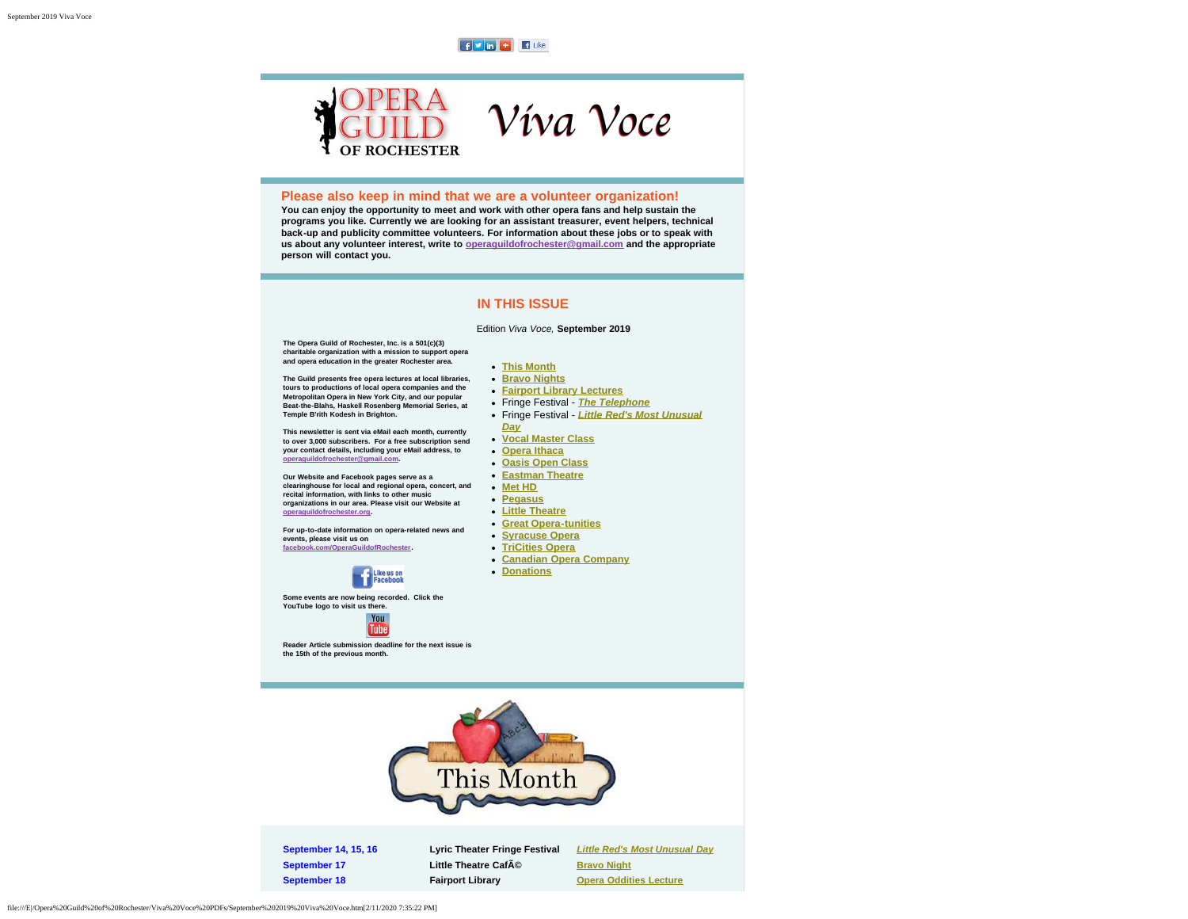$f$   $\overline{v}$  in  $\overline{f}$   $\overline{f}$  like

# **Please also keep in mind that we are a volunteer organization!**

**You can enjoy the opportunity to meet and work with other opera fans and help sustain the programs you like. Currently we are looking for an assistant treasurer, event helpers, technical back-up and publicity committee volunteers. For information about these jobs or to speak with us about any volunteer interest, write to [operaguildofrochester@gmail.com](mailto:operaguildofrochester@gmail.com) and the appropriate person will contact you.**

## **IN THIS ISSUE**

**[This Month](#page-0-0) [Bravo Nights](#page-1-0)**

*[Day](#page-2-2)*

**[Donations](#page-9-1)**

#### Edition *Viva Voce,* **September 2019**

Víva Voce

**[Fairport Library Lectures](#page-2-0)** Fringe Festival - *[The Telephone](#page-2-1)* Fringe Festival - *[Little Red's Most Unusual](#page-2-2)*

**[Vocal Master Class](#page-3-0) [Opera Ithaca](#page-3-1) [Oasis Open Class](#page-4-0) [Eastman Theatre](#page-4-1) [Met HD](#page-5-0) [Pegasus](#page-6-0) [Little Theatre](#page-7-0) [Great Opera-tunities](#page-7-1) [Syracuse Opera](#page-7-2) [TriCities Opera](#page-8-0) [Canadian Opera Company](#page-9-0)**

<span id="page-0-1"></span>**The Opera Guild of Rochester, Inc. is a 501(c)(3) charitable organization with a mission to support opera and opera education in the greater Rochester area.**

**OF ROCHESTER** 

**The Guild presents free opera lectures at local libraries, tours to productions of local opera companies and the Metropolitan Opera in New York City, and our popular Beat-the-Blahs, Haskell Rosenberg Memorial Series, at Temple B'rith Kodesh in Brighton.**

**This newsletter is sent via eMail each month, currently to over 3,000 subscribers. For a free subscription send your contact details, including your eMail address, to [operaguildofrochester@gmail.com.](mailto:operaguildofrochester@gmail.com)**

**Our Website and Facebook pages serve as a clearinghouse for local and regional opera, concert, and recital information, with links to other music organizations in our area. Please visit our Website at [operaguildofrochester.org](http://operaguildofrochester.org/).**

**For up-to-date information on opera-related news and events, please visit us on [facebook.com/OperaGuildofRochester](http://facebook.com/OperaGuildofRochester).**



**Some events are now being recorded. Click the YouTube logo to visit us there.**



<span id="page-0-0"></span>**Reader Article submission deadline for the next issue is the 15th of the previous month.**



**September 17 Little Theatre Caf** $\tilde{A}$ <sup>©</sup> **[Bravo Night](#page-1-0)** 

**September 14, 15, 16 Lyric Theater Fringe Festival** *[Little Red's Most Unusual Day](#page-2-2)* **September 18 Fairport Library Consumer September 18 Fairport Library Consumer September 18**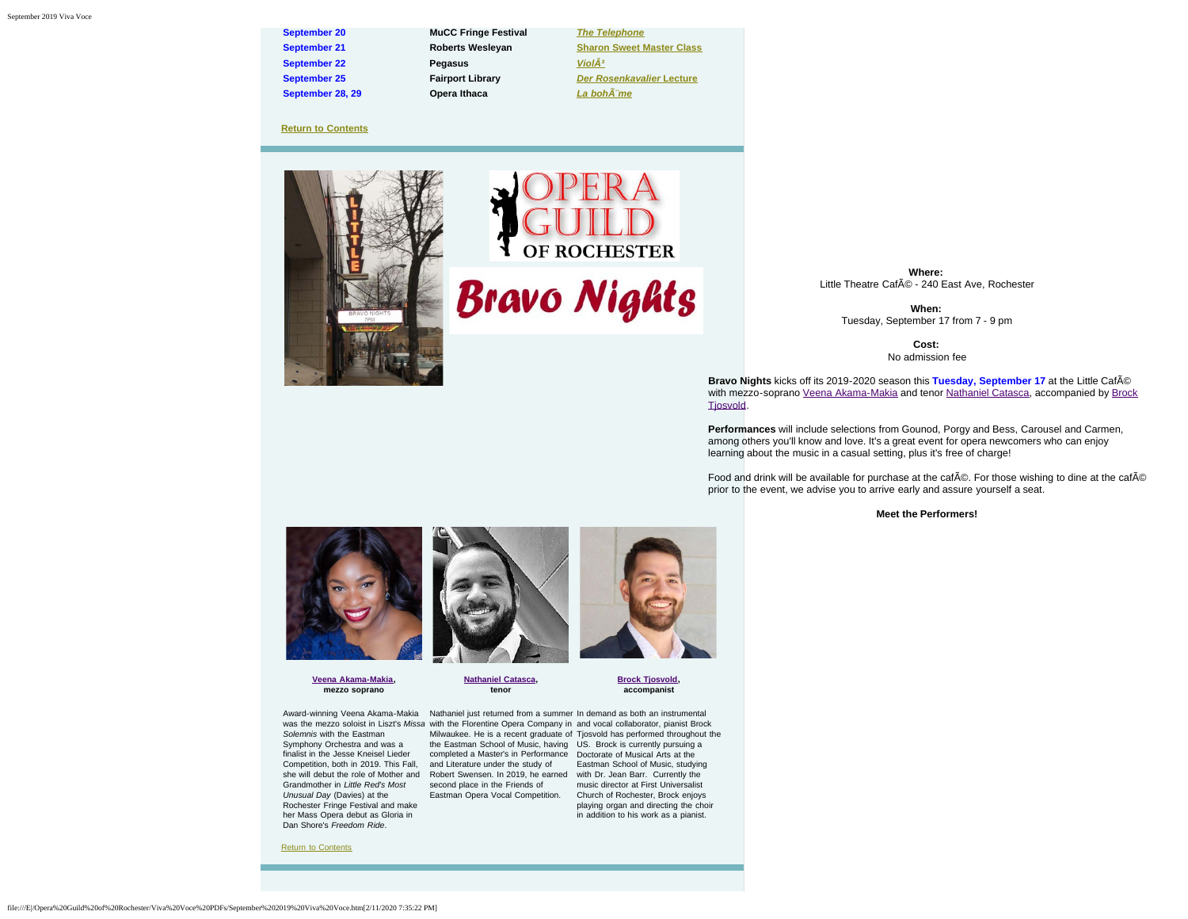**September 20 MuCC Fringe Festival** *[The Telephone](#page-2-1)* **September 22 Pegasus** *ViolÂ***<sup>3</sup> September 25 Fairport Library** *[Der Rosenkavalier](#page-2-0)* **[Lecture](#page-2-0) September 28, 29 Opera Ithaca** *[La bohème](#page-3-1)*

**September 21 Roberts Wesleyan [Sharon Sweet Master Class](#page-3-0)**

#### **[Return to Contents](#page-0-1)**

<span id="page-1-0"></span>



**Bravo Nights** 

**Where:** Little Theatre Café - 240 East Ave, Rochester

> **When:** Tuesday, September 17 from 7 - 9 pm

> > **Cost:** No admission fee

**Bravo Nights** kicks off its 2019-2020 season this **Tuesday, September 17** at the Little Café with mezzo-soprano [Veena Akama-Makia](https://www.esm.rochester.edu/blog/2018/05/finding-her-voice-links-scholarship-recipient-veena-akama-makia/) and tenor [Nathaniel Catasca](https://www.youtube.com/watch?v=Ed7GxB58HEw), accompanied by [Brock](https://www.brocktjosvold.com/biography) [Tjosvold](https://www.brocktjosvold.com/biography).

**Performances** will include selections from Gounod, Porgy and Bess, Carousel and Carmen, among others you'll know and love. It's a great event for opera newcomers who can enjoy learning about the music in a casual setting, plus it's free of charge!

Food and drink will be available for purchase at the caf $\tilde{A}$ ©. For those wishing to dine at the caf $\tilde{A}$ © prior to the event, we advise you to arrive early and assure yourself a seat.

**Meet the Performers!**



**[Veena Akama-Makia](https://www.esm.rochester.edu/blog/2018/05/finding-her-voice-links-scholarship-recipient-veena-akama-makia/), mezzo soprano**

**tenor**

**[Nathaniel Catasca](https://www.youtube.com/watch?v=Ed7GxB58HEw),**

**[Brock Tjosvold,](https://www.brocktjosvold.com/biography)**

**accompanist**

Award-winning Veena Akama-Makia Mathaniel just returned from a summer In demand as both an instrumental *Solemnis* with the Eastman Grandmother in *Little Red's Most* second place in the Friends of *Unusual Day* (Davies) at the Rochester Fringe Festival and make her Mass Opera debut as Gloria in Dan Shore's *Freedom Ride*.

Symphony Orchestra and was a the Eastman School of Music, having US. Brock is currently pursuing a finalist in the Jesse Kneisel Lieder completed a Master's in Performance Doctorate of Musical Arts at the she will debut the role of Mother and Robert Swensen. In 2019, he earned with Dr. Jean Barr. Currently the Eastman Opera Vocal Competition. Church of Rochester, Brock enjoys

was the mezzo soloist in Liszt's Missa with the Florentine Opera Company in and vocal collaborator, pianist Brock Competition, both in 2019. This Fall, and Literature under the study of Eastman School of Music, studying Milwaukee. He is a recent graduate of Tjosvold has performed throughout the music director at First Universalist playing organ and directing the choir in addition to his work as a pianist.

[Return to Contents](#page-0-1)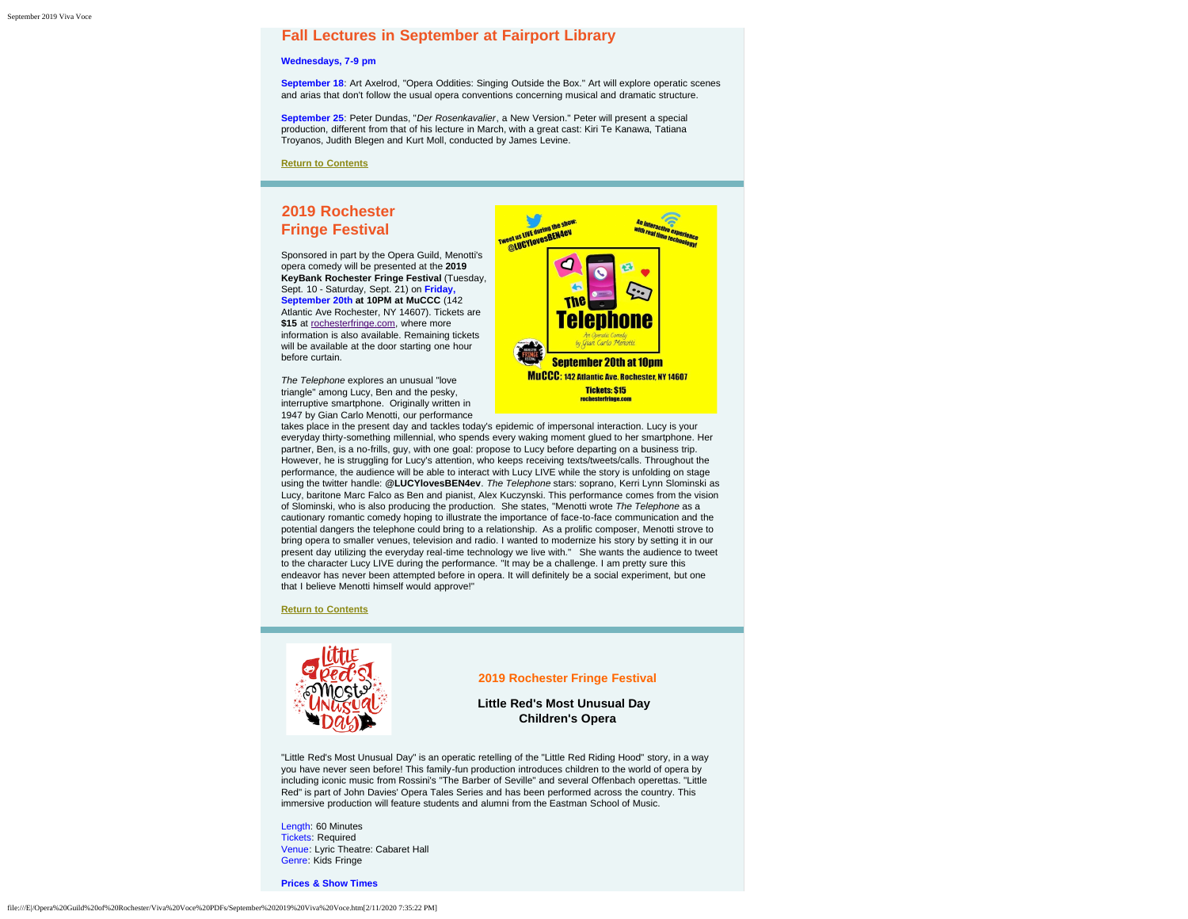## <span id="page-2-0"></span>**Fall Lectures in September at Fairport Library**

#### **Wednesdays, 7-9 pm**

**September 18**: Art Axelrod, "Opera Oddities: Singing Outside the Box." Art will explore operatic scenes and arias that don't follow the usual opera conventions concerning musical and dramatic structure.

**September 25**: Peter Dundas, "*Der Rosenkavalier*, a New Version." Peter will present a special production, different from that of his lecture in March, with a great cast: Kiri Te Kanawa, Tatiana Troyanos, Judith Blegen and Kurt Moll, conducted by James Levine.

**[Return to Contents](#page-0-1)**

# <span id="page-2-1"></span>**2019 Rochester Fringe Festival**

Sponsored in part by the Opera Guild, Menotti's opera comedy will be presented at the **2019 KeyBank Rochester Fringe Festival** (Tuesday, Sept. 10 - Saturday, Sept. 21) on **Friday, September 20th at 10PM at MuCCC** (142 Atlantic Ave Rochester, NY 14607). Tickets are \$15 at [rochesterfringe.com](http://rochesterfringe.com/), where more information is also available. Remaining tickets will be available at the door starting one hour before curtain.

*The Telephone* explores an unusual "love triangle" among Lucy, Ben and the pesky, interruptive smartphone. Originally written in 1947 by Gian Carlo Menotti, our performance



takes place in the present day and tackles today's epidemic of impersonal interaction. Lucy is your everyday thirty-something millennial, who spends every waking moment glued to her smartphone. Her partner, Ben, is a no-frills, guy, with one goal: propose to Lucy before departing on a business trip. However, he is struggling for Lucy's attention, who keeps receiving texts/tweets/calls. Throughout the performance, the audience will be able to interact with Lucy LIVE while the story is unfolding on stage using the twitter handle: **@LUCYlovesBEN4ev**. *The Telephone* stars: soprano, Kerri Lynn Slominski as Lucy, baritone Marc Falco as Ben and pianist, Alex Kuczynski. This performance comes from the vision of Slominski, who is also producing the production. She states, "Menotti wrote *The Telephone* as a cautionary romantic comedy hoping to illustrate the importance of face-to-face communication and the potential dangers the telephone could bring to a relationship. As a prolific composer, Menotti strove to bring opera to smaller venues, television and radio. I wanted to modernize his story by setting it in our present day utilizing the everyday real-time technology we live with." She wants the audience to tweet to the character Lucy LIVE during the performance. "It may be a challenge. I am pretty sure this endeavor has never been attempted before in opera. It will definitely be a social experiment, but one that I believe Menotti himself would approve!"

#### **[Return to Contents](#page-0-1)**

<span id="page-2-2"></span>

### **2019 Rochester Fringe Festival**

## **Little Red's Most Unusual Day Children's Opera**

"Little Red's Most Unusual Day" is an operatic retelling of the "Little Red Riding Hood" story, in a way you have never seen before! This family-fun production introduces children to the world of opera by including iconic music from Rossini's "The Barber of Seville" and several Offenbach operettas. "Little Red" is part of John Davies' Opera Tales Series and has been performed across the country. This immersive production will feature students and alumni from the Eastman School of Music.

Length: 60 Minutes Tickets: Required Venue: Lyric Theatre: Cabaret Hall Genre: Kids Fringe

**Prices & Show Times**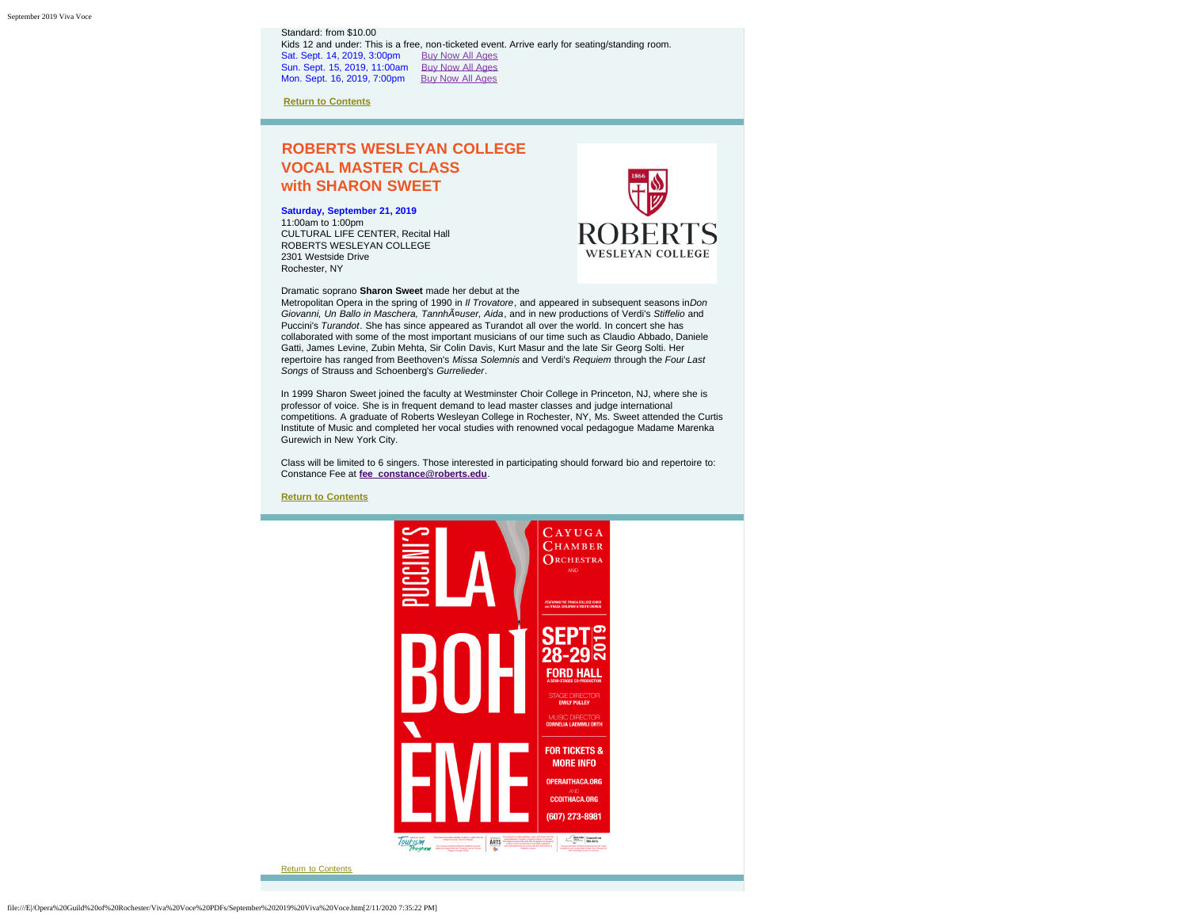Standard: from \$10.00 Kids 12 and under: This is a free, non-ticketed event. Arrive early for seating/standing room. Sat. Sept. 14, 2019, 3:00pm [Buy Now All Ages](https://rochesterfringe.com/tickets-and-shows/little-reds-most-unusual-day-childrens-opera) Sun. Sept. 15, 2019, 11:00am [Buy Now All Ages](https://rochesterfringe.com/tickets-and-shows/little-reds-most-unusual-day-childrens-opera) Mon. Sept. 16, 2019, 7:00pm [Buy Now All Ages](https://rochesterfringe.com/tickets-and-shows/little-reds-most-unusual-day-childrens-opera)

**[Return to Contents](#page-0-1)**

# <span id="page-3-0"></span>**ROBERTS WESLEYAN COLLEGE VOCAL MASTER CLASS with SHARON SWEET**

**Saturday, September 21, 2019** 11:00am to 1:00pm

CULTURAL LIFE CENTER, Recital Hall ROBERTS WESLEYAN COLLEGE 2301 Westside Drive Rochester, NY



Dramatic soprano **Sharon Sweet** made her debut at the

Metropolitan Opera in the spring of 1990 in *Il Trovatore*, and appeared in subsequent seasons in*Don Giovanni, Un Ballo in Maschera, Tannhäuser, Aida*, and in new productions of Verdi's *Stiffelio* and Puccini's *Turandot*. She has since appeared as Turandot all over the world. In concert she has collaborated with some of the most important musicians of our time such as Claudio Abbado, Daniele Gatti, James Levine, Zubin Mehta, Sir Colin Davis, Kurt Masur and the late Sir Georg Solti. Her repertoire has ranged from Beethoven's *Missa Solemnis* and Verdi's *Requiem* through the *Four Last Songs* of Strauss and Schoenberg's *Gurrelieder*.

In 1999 Sharon Sweet joined the faculty at Westminster Choir College in Princeton, NJ, where she is professor of voice. She is in frequent demand to lead master classes and judge international competitions. A graduate of Roberts Wesleyan College in Rochester, NY, Ms. Sweet attended the Curtis Institute of Music and completed her vocal studies with renowned vocal pedagogue Madame Marenka Gurewich in New York City.

Class will be limited to 6 singers. Those interested in participating should forward bio and repertoire to: Constance Fee at **[fee\\_constance@roberts.edu](mailto:fee_constance@roberts.edu)**.

<span id="page-3-1"></span>**[Return to Contents](#page-0-1)**

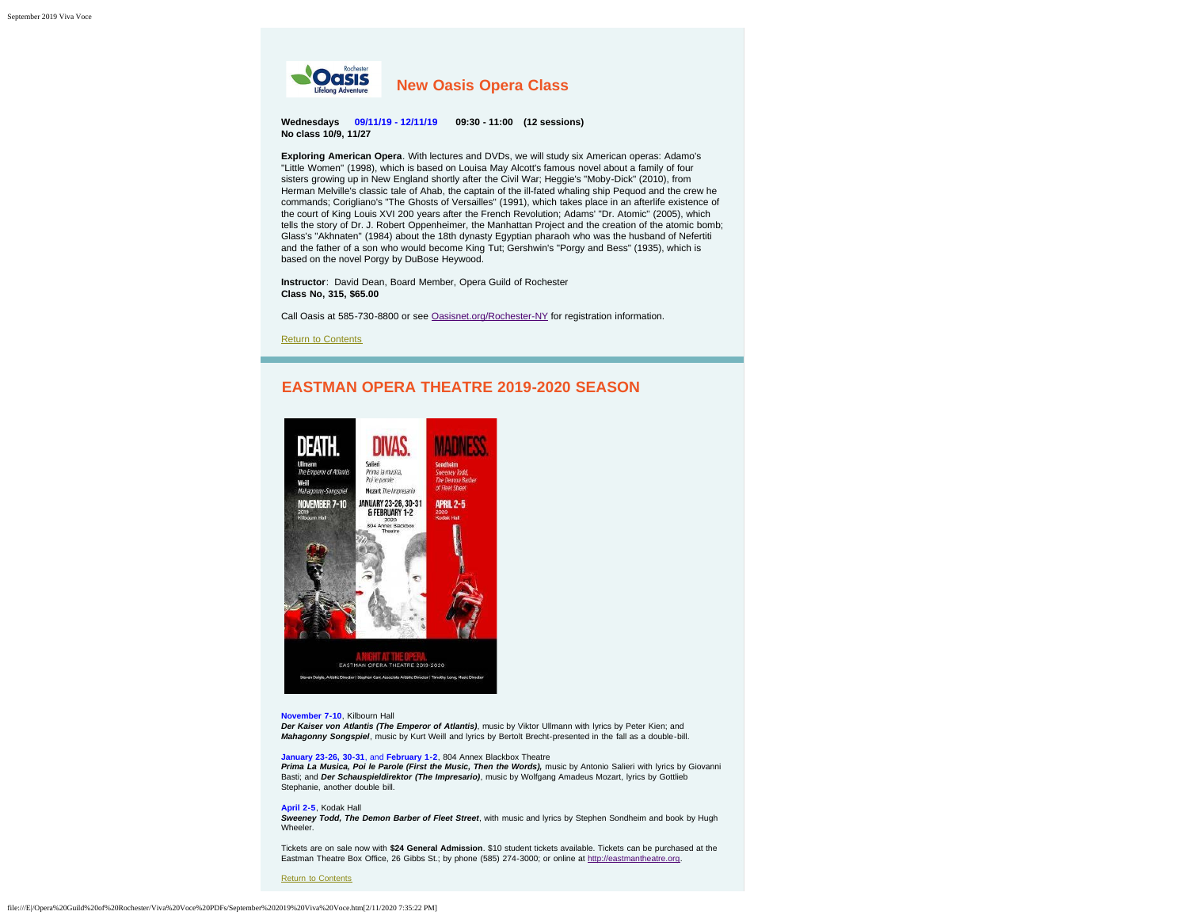<span id="page-4-0"></span>

**Wednesdays 09/11/19 - 12/11/19 09:30 - 11:00 (12 sessions) No class 10/9, 11/27**

**Exploring American Opera**. With lectures and DVDs, we will study six American operas: Adamo's "Little Women" (1998), which is based on Louisa May Alcott's famous novel about a family of four sisters growing up in New England shortly after the Civil War; Heggie's "Moby-Dick" (2010), from Herman Melville's classic tale of Ahab, the captain of the ill-fated whaling ship Pequod and the crew he commands; Corigliano's "The Ghosts of Versailles" (1991), which takes place in an afterlife existence of the court of King Louis XVI 200 years after the French Revolution; Adams' "Dr. Atomic" (2005), which tells the story of Dr. J. Robert Oppenheimer, the Manhattan Project and the creation of the atomic bomb; Glass's "Akhnaten" (1984) about the 18th dynasty Egyptian pharaoh who was the husband of Nefertiti and the father of a son who would become King Tut; Gershwin's "Porgy and Bess" (1935), which is based on the novel Porgy by DuBose Heywood.

**Instructor**: David Dean, Board Member, Opera Guild of Rochester **Class No, 315, \$65.00**

Call Oasis at 585-730-8800 or see [Oasisnet.org/Rochester-NY](http://oasisnet.org/rochesterny/classes) for registration information.

[Return to Contents](#page-0-1)

# **EASTMAN OPERA THEATRE 2019-2020 SEASON**

<span id="page-4-1"></span>

#### **November 7-10**, Kilbourn Hall

*Der Kaiser von Atlantis (The Emperor of Atlantis)*, music by Viktor Ullmann with lyrics by Peter Kien; and *Mahagonny Songspiel*, music by Kurt Weill and lyrics by Bertolt Brecht-presented in the fall as a double-bill.

#### **January 23-26, 30-31**, and **February 1-2**, 804 Annex Blackbox Theatre

*Prima La Musica, Poi le Parole (First the Music, Then the Words),* music by Antonio Salieri with lyrics by Giovanni Basti; and *Der Schauspieldirektor (The Impresario)*, music by Wolfgang Amadeus Mozart, lyrics by Gottlieb Stephanie, another double bill.

#### **April 2-5**, Kodak Hall

*Sweeney Todd, The Demon Barber of Fleet Street*, with music and lyrics by Stephen Sondheim and book by Hugh Wheeler.

Tickets are on sale now with **\$24 General Admission**. \$10 student tickets available. Tickets can be purchased at the Eastman Theatre Box Office, 26 Gibbs St.; by phone (585) 274-3000; or online at [http://eastmantheatre.org.](http://www.eastmantheatre.org/)

[Return to Contents](#page-0-1)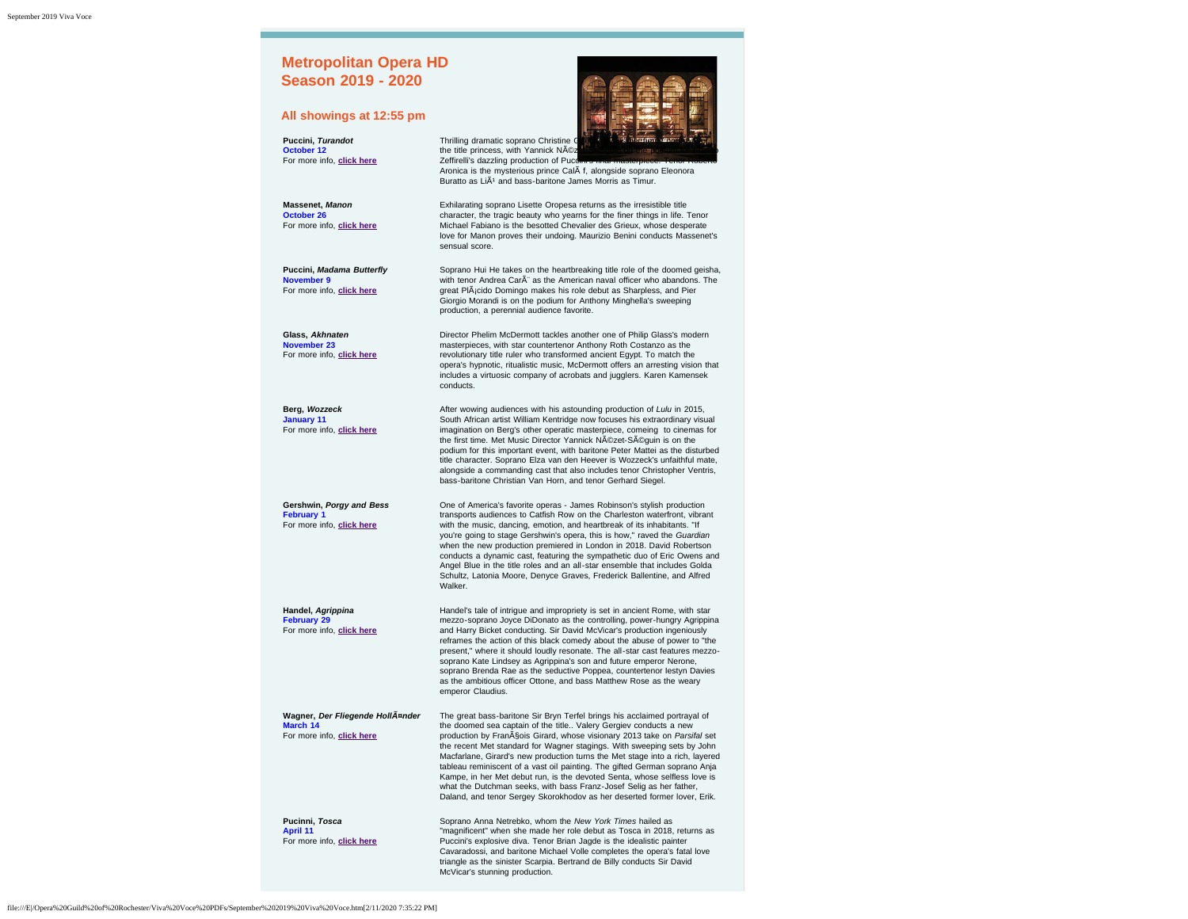<span id="page-5-0"></span>

| <b>Metropolitan Opera HD</b><br><b>Season 2019 - 2020</b>                  |                                                                                                                                                                                                                                                                                                                                                                                                                                                                                                                                                                                                                                                                                                      |
|----------------------------------------------------------------------------|------------------------------------------------------------------------------------------------------------------------------------------------------------------------------------------------------------------------------------------------------------------------------------------------------------------------------------------------------------------------------------------------------------------------------------------------------------------------------------------------------------------------------------------------------------------------------------------------------------------------------------------------------------------------------------------------------|
| All showings at 12:55 pm                                                   |                                                                                                                                                                                                                                                                                                                                                                                                                                                                                                                                                                                                                                                                                                      |
| Puccini, Turandot<br>October 12<br>For more info, click here               | Thrilling dramatic soprano Christine C<br>the title princess, with Yannick NAOz<br>Zeffirelli's dazzling production of Pucching linal masterpiece. Tenor<br>Aronica is the mysterious prince CalA f, alongside soprano Eleonora<br>Buratto as LiA <sup>1</sup> and bass-baritone James Morris as Timur.                                                                                                                                                                                                                                                                                                                                                                                              |
| <b>Massenet, Manon</b><br>October 26<br>For more info, click here          | Exhilarating soprano Lisette Oropesa returns as the irresistible title<br>character, the tragic beauty who yearns for the finer things in life. Tenor<br>Michael Fabiano is the besotted Chevalier des Grieux, whose desperate<br>love for Manon proves their undoing. Maurizio Benini conducts Massenet's<br>sensual score.                                                                                                                                                                                                                                                                                                                                                                         |
| Puccini, Madama Butterfly<br>November 9<br>For more info, click here       | Soprano Hui He takes on the heartbreaking title role of the doomed geisha,<br>with tenor Andrea CarA" as the American naval officer who abandons. The<br>great PIA <sub>j</sub> cido Domingo makes his role debut as Sharpless, and Pier<br>Giorgio Morandi is on the podium for Anthony Minghella's sweeping<br>production, a perennial audience favorite.                                                                                                                                                                                                                                                                                                                                          |
| Glass, Akhnaten<br>November 23<br>For more info, click here                | Director Phelim McDermott tackles another one of Philip Glass's modern<br>masterpieces, with star countertenor Anthony Roth Costanzo as the<br>revolutionary title ruler who transformed ancient Egypt. To match the<br>opera's hypnotic, ritualistic music, McDermott offers an arresting vision that<br>includes a virtuosic company of acrobats and jugglers. Karen Kamensek<br>conducts.                                                                                                                                                                                                                                                                                                         |
| Berg, Wozzeck<br><b>January 11</b><br>For more info, click here            | After wowing audiences with his astounding production of Lulu in 2015,<br>South African artist William Kentridge now focuses his extraordinary visual<br>imagination on Berg's other operatic masterpiece, comeing to cinemas for<br>the first time. Met Music Director Yannick NAOzet-SAOguin is on the<br>podium for this important event, with baritone Peter Mattei as the disturbed<br>title character. Soprano Elza van den Heever is Wozzeck's unfaithful mate,<br>alongside a commanding cast that also includes tenor Christopher Ventris,<br>bass-baritone Christian Van Horn, and tenor Gerhard Siegel.                                                                                   |
| Gershwin, Porgy and Bess<br><b>February 1</b><br>For more info, click here | One of America's favorite operas - James Robinson's stylish production<br>transports audiences to Catfish Row on the Charleston waterfront, vibrant<br>with the music, dancing, emotion, and heartbreak of its inhabitants. "If<br>you're going to stage Gershwin's opera, this is how," raved the Guardian<br>when the new production premiered in London in 2018. David Robertson<br>conducts a dynamic cast, featuring the sympathetic duo of Eric Owens and<br>Angel Blue in the title roles and an all-star ensemble that includes Golda<br>Schultz, Latonia Moore, Denyce Graves, Frederick Ballentine, and Alfred<br>Walker.                                                                  |
| Handel, Agrippina<br><b>February 29</b><br>For more info, click here       | Handel's tale of intrigue and impropriety is set in ancient Rome, with star<br>mezzo-soprano Joyce DiDonato as the controlling, power-hungry Agrippina<br>and Harry Bicket conducting. Sir David McVicar's production ingeniously<br>reframes the action of this black comedy about the abuse of power to "the<br>present," where it should loudly resonate. The all-star cast features mezzo-<br>soprano Kate Lindsey as Agrippina's son and future emperor Nerone,<br>soprano Brenda Rae as the seductive Poppea, countertenor lestyn Davies<br>as the ambitious officer Ottone, and bass Matthew Rose as the weary<br>emperor Claudius.                                                           |
| Wagner, Der Fliegende HollA¤nder<br>March 14<br>For more info, click here  | The great bass-baritone Sir Bryn Terfel brings his acclaimed portrayal of<br>the doomed sea captain of the title Valery Gergiev conducts a new<br>production by FranASois Girard, whose visionary 2013 take on Parsifal set<br>the recent Met standard for Wagner stagings. With sweeping sets by John<br>Macfarlane, Girard's new production turns the Met stage into a rich, layered<br>tableau reminiscent of a vast oil painting. The gifted German soprano Anja<br>Kampe, in her Met debut run, is the devoted Senta, whose selfless love is<br>what the Dutchman seeks, with bass Franz-Josef Selig as her father,<br>Daland, and tenor Sergey Skorokhodov as her deserted former lover, Erik. |
| Pucinni, Tosca<br>April 11<br>For more info, click here                    | Soprano Anna Netrebko, whom the New York Times hailed as<br>"magnificent" when she made her role debut as Tosca in 2018, returns as<br>Puccini's explosive diva. Tenor Brian Jagde is the idealistic painter<br>Cavaradossi, and baritone Michael Volle completes the opera's fatal love<br>triangle as the sinister Scarpia. Bertrand de Billy conducts Sir David<br>McVicar's stunning production.                                                                                                                                                                                                                                                                                                 |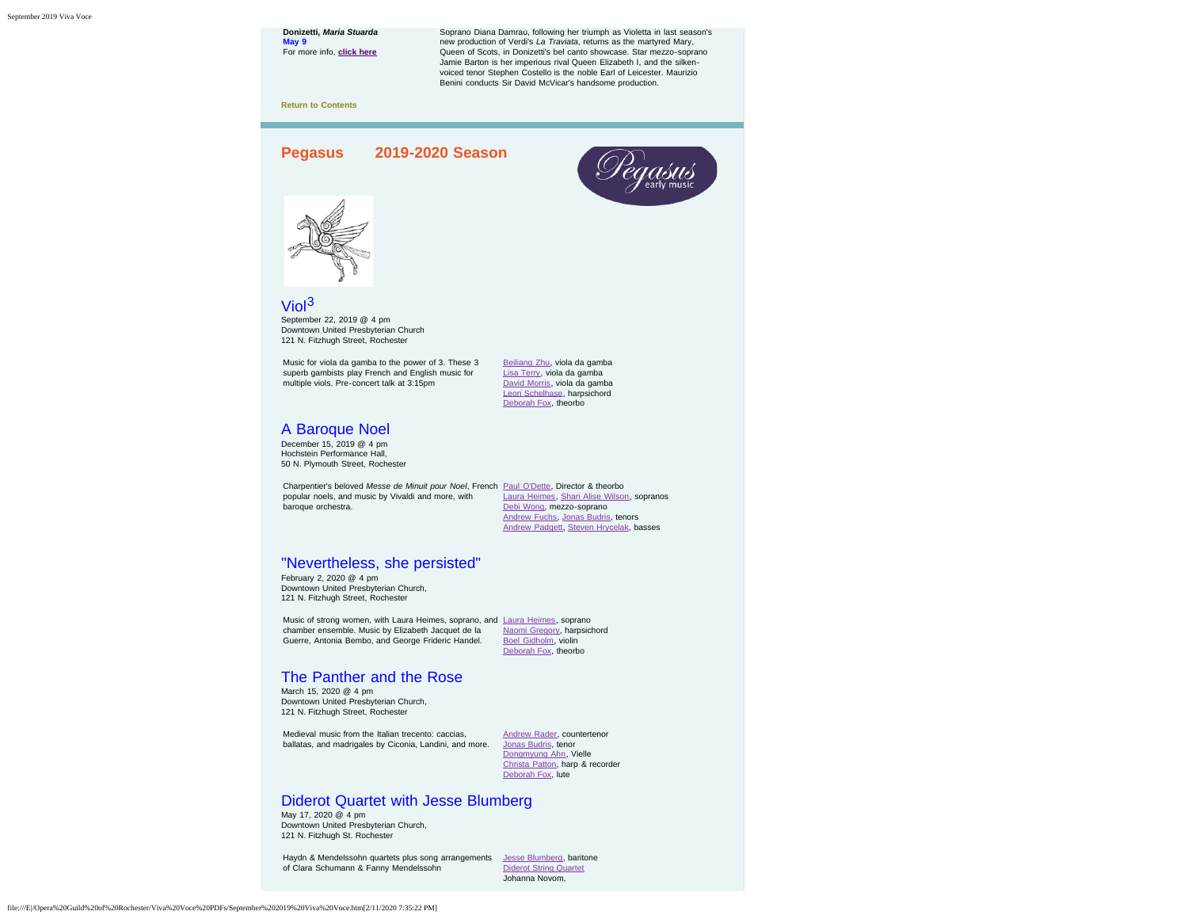<span id="page-6-0"></span>

Haydn & Mendelssohn quartets plus song arrangements [Jesse Blumberg,](https://www.pegasusearlymusic.org/artist/jesse-blumberg/) baritone of Clara Schumann & Fanny Mendelssohn

[Diderot String Quartet](https://www.pegasusearlymusic.org/artist/diderot-string-quartet/) Johanna Novom,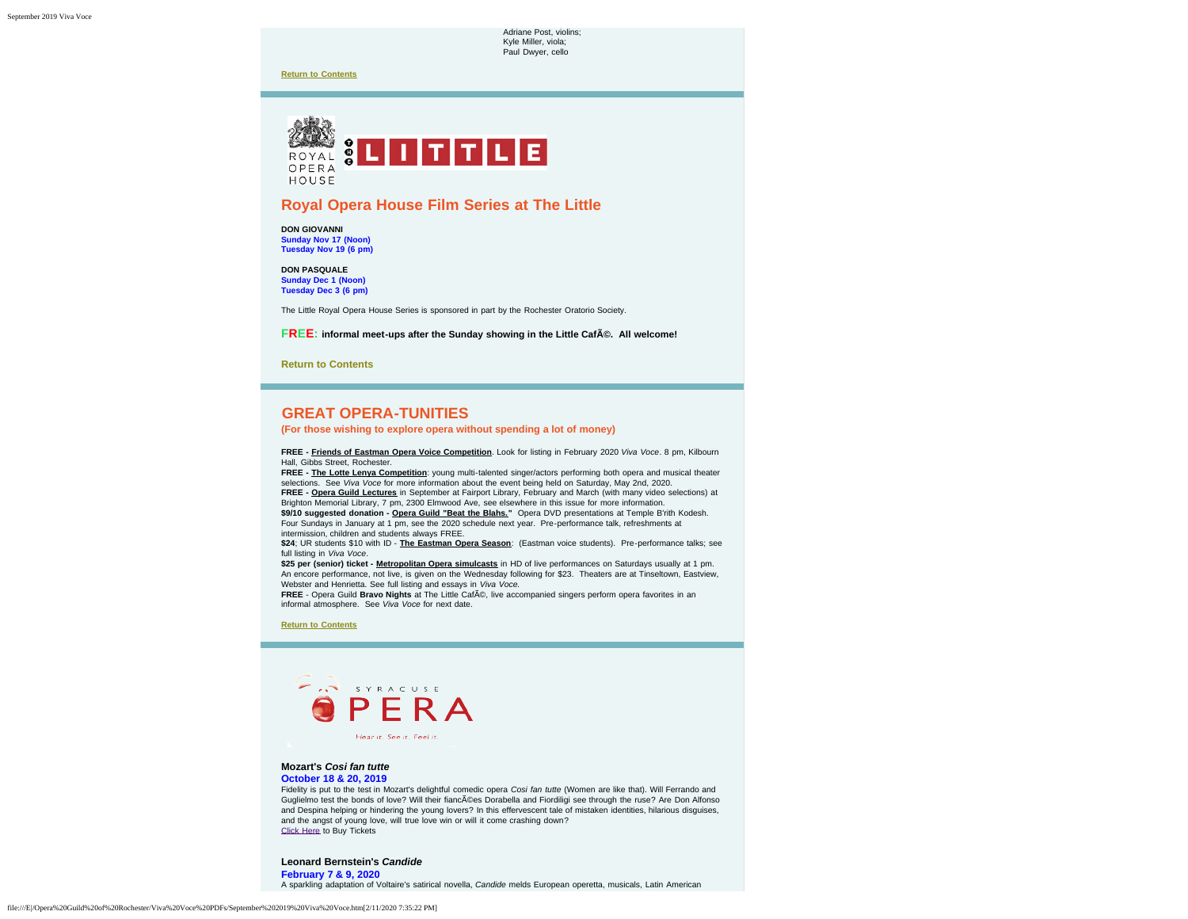Adriane Post, violins; Kyle Miller, viola; Paul Dwyer, cello

**[Return to Contents](#page-0-1)**

<span id="page-7-0"></span>

# **Royal Opera House Film Series at The Little**

**DON GIOVANNI Sunday Nov 17 (Noon) Tuesday Nov 19 (6 pm)**

**DON PASQUALE Sunday Dec 1 (Noon) Tuesday Dec 3 (6 pm)**

The Little Royal Opera House Series is sponsored in part by the Rochester Oratorio Society.

**FREE:** informal meet-ups after the Sunday showing in the Little CafA©. All welcome!

**[Return to Contents](#page-0-1)**

# **GREAT OPERA-TUNITIES**

<span id="page-7-1"></span>**(For those wishing to explore opera without spending a lot of money)**

**FREE - Friends of Eastman Opera Voice Competition**. Look for listing in February 2020 *Viva Voce*. 8 pm, Kilbourn Hall, Gibbs Street, Rochester.

**FREE - The Lotte Lenya Competition**: young multi-talented singer/actors performing both opera and musical theater selections. See *Viva Voce* for more information about the event being held on Saturday, May 2nd, 2020. **FREE - Opera Guild Lectures** in September at Fairport Library, February and March (with many video selections) at Brighton Memorial Library, 7 pm, 2300 Elmwood Ave, see elsewhere in this issue for more information. **\$9/10 suggested donation - Opera Guild "Beat the Blahs."** Opera DVD presentations at Temple B'rith Kodesh. Four Sundays in January at 1 pm, see the 2020 schedule next year. Pre-performance talk, refreshments at intermission, children and students always FREE.

**\$24**; UR students \$10 with ID - **The Eastman Opera Season**: (Eastman voice students). Pre-performance talks; see full listing in *Viva Voce*.

**\$25 per (senior) ticket - Metropolitan Opera simulcasts** in HD of live performances on Saturdays usually at 1 pm. An encore performance, not live, is given on the Wednesday following for \$23. Theaters are at Tinseltown, Eastview, Webster and Henrietta. See full listing and essays in *Viva Voce.*

**FREE** - Opera Guild **Bravo Nights** at The Little CafA©, live accompanied singers perform opera favorites in an informal atmosphere. See *Viva Voce* for next date.

**[Return to Contents](#page-0-1)**

<span id="page-7-2"></span>

#### **Mozart's** *Cosi fan tutte* **October 18 & 20, 2019**

Fidelity is put to the test in Mozart's delightful comedic opera *Cosi fan tutte* (Women are like that). Will Ferrando and Guglielmo test the bonds of love? Will their fiancées Dorabella and Fiordiligi see through the ruse? Are Don Alfonso and Despina helping or hindering the young lovers? In this effervescent tale of mistaken identities, hilarious disguises, and the angst of young love, will true love win or will it come crashing down? [Click Here](https://www.syracuseopera.org/subscriptions) to Buy Tickets

**Leonard Bernstein's** *Candide* **February 7 & 9, 2020**

A sparkling adaptation of Voltaire's satirical novella, *Candide* melds European operetta, musicals, Latin American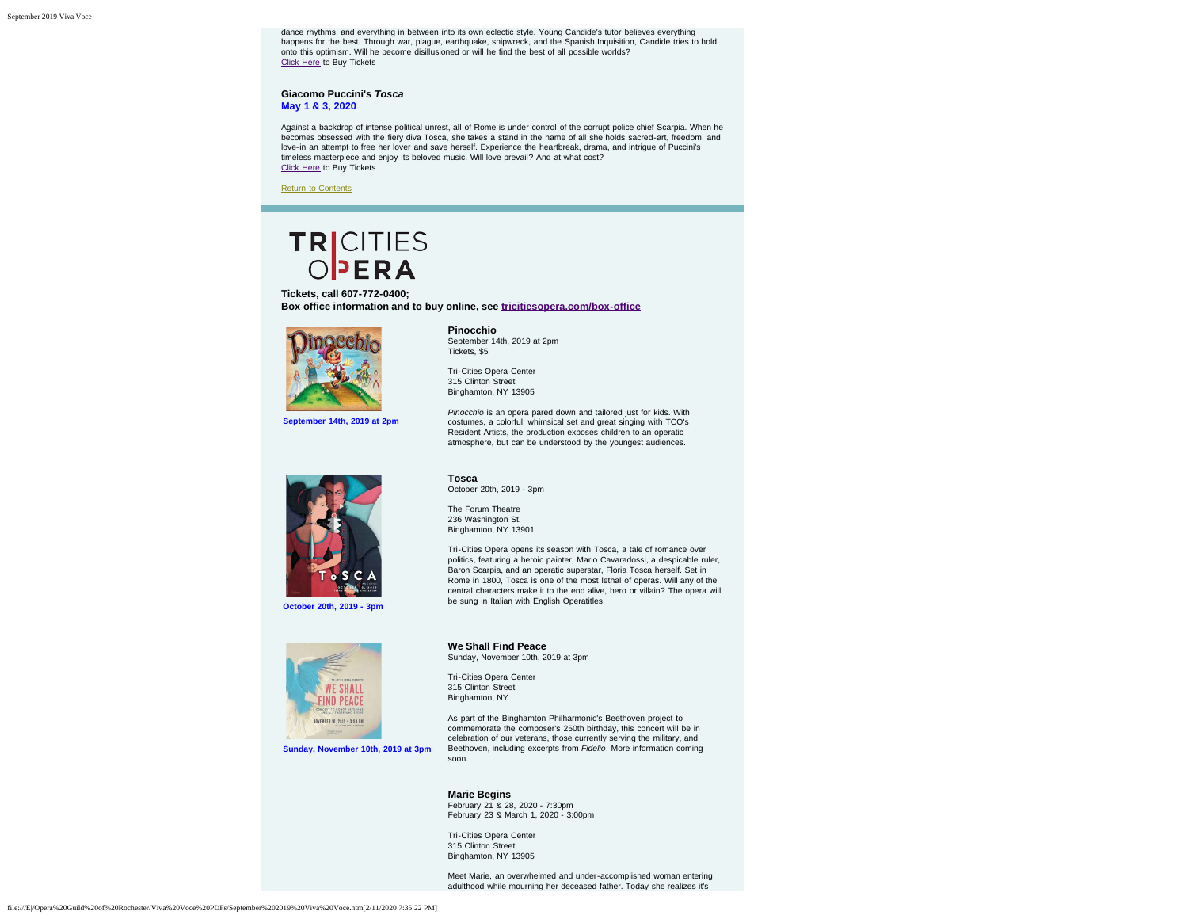dance rhythms, and everything in between into its own eclectic style. Young Candide's tutor believes everything happens for the best. Through war, plague, earthquake, shipwreck, and the Spanish Inquisition, Candide tries to hold onto this optimism. Will he become disillusioned or will he find the best of all possible worlds? [Click Here](https://www.syracuseopera.org/subscriptions) to Buy Tickets

#### **Giacomo Puccini's** *Tosca* **May 1 & 3, 2020**

Against a backdrop of intense political unrest, all of Rome is under control of the corrupt police chief Scarpia. When he becomes obsessed with the fiery diva Tosca, she takes a stand in the name of all she holds sacred-art, freedom, and love-in an attempt to free her lover and save herself. Experience the heartbreak, drama, and intrigue of Puccini's timeless masterpiece and enjoy its beloved music. Will love prevail? And at what cost? [Click Here](https://www.syracuseopera.org/subscriptions) to Buy Tickets

[Return to Contents](#page-0-1)

# TRICITIES

<span id="page-8-0"></span>**Tickets, call 607-772-0400; Box office information and to buy online, see [tricitiesopera.com/box-office](http://tricitiesopera.com/box-office)**



**September 14th, 2019 at 2pm**

**Pinocchio** September 14th, 2019 at 2pm Tickets, \$5

Tri-Cities Opera Center 315 Clinton Street Binghamton, NY 13905

*Pinocchio* is an opera pared down and tailored just for kids. With costumes, a colorful, whimsical set and great singing with TCO's Resident Artists, the production exposes children to an operatic atmosphere, but can be understood by the youngest audiences.



**Tosca** October 20th, 2019 - 3pm

The Forum Theatre 236 Washington St. Binghamton, NY 13901

Tri-Cities Opera opens its season with Tosca, a tale of romance over politics, featuring a heroic painter, Mario Cavaradossi, a despicable ruler, Baron Scarpia, and an operatic superstar, Floria Tosca herself. Set in Rome in 1800, Tosca is one of the most lethal of operas. Will any of the central characters make it to the end alive, hero or villain? The opera will be sung in Italian with English Operatitles.



**Sunday, November 10th, 2019 at 3pm**

**We Shall Find Peace** Sunday, November 10th, 2019 at 3pm

Tri-Cities Opera Center 315 Clinton Street Binghamton, NY

As part of the Binghamton Philharmonic's Beethoven project to commemorate the composer's 250th birthday, this concert will be in celebration of our veterans, those currently serving the military, and Beethoven, including excerpts from *Fidelio*. More information coming soon.

**Marie Begins** February 21 & 28, 2020 - 7:30pm February 23 & March 1, 2020 - 3:00pm

Tri-Cities Opera Center 315 Clinton Street Binghamton, NY 13905

Meet Marie, an overwhelmed and under-accomplished woman entering adulthood while mourning her deceased father. Today she realizes it's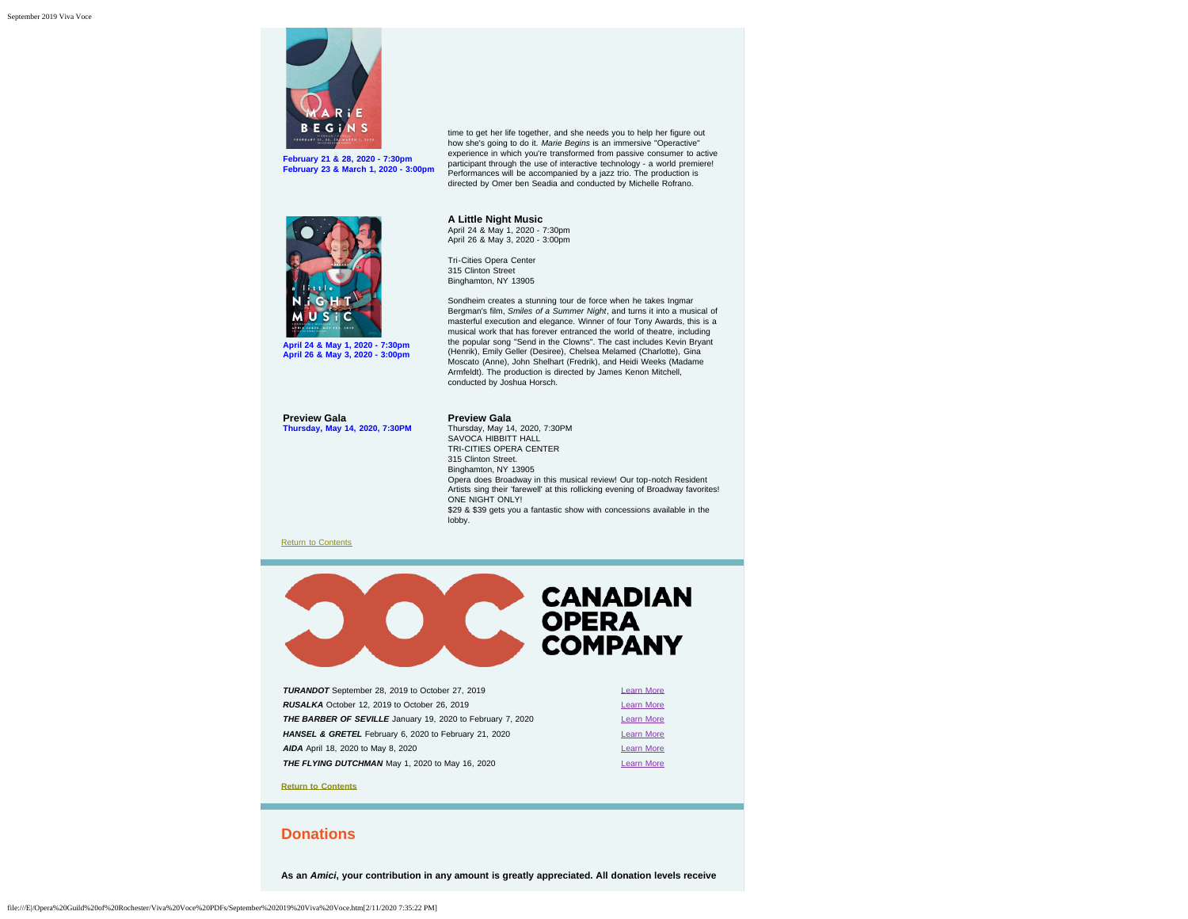

**February 21 & 28, 2020 - 7:30pm February 23 & March 1, 2020 - 3:00pm** time to get her life together, and she needs you to help her figure out how she's going to do it. *Marie Begins* is an immersive "Operactive" experience in which you're transformed from passive consumer to active participant through the use of interactive technology - a world premiere! Performances will be accompanied by a jazz trio. The production is directed by Omer ben Seadia and conducted by Michelle Rofrano.

Sondheim creates a stunning tour de force when he takes Ingmar Bergman's film, *Smiles of a Summer Night*, and turns it into a musical of masterful execution and elegance. Winner of four Tony Awards, this is a musical work that has forever entranced the world of theatre, including the popular song "Send in the Clowns". The cast includes Kevin Bryant (Henrik), Emily Geller (Desiree), Chelsea Melamed (Charlotte), Gina Moscato (Anne), John Shelhart (Fredrik), and Heidi Weeks (Madame Armfeldt). The production is directed by James Kenon Mitchell,



**April 24 & May 1, 2020 - 7:30pm April 26 & May 3, 2020 - 3:00pm**

**Preview Gala Thursday, May 14, 2020, 7:30PM**

## **Preview Gala**

conducted by Joshua Horsch.

**A Little Night Music** April 24 & May 1, 2020 - 7:30pm April 26 & May 3, 2020 - 3:00pm Tri-Cities Opera Center 315 Clinton Street Binghamton, NY 13905

Thursday, May 14, 2020, 7:30PM SAVOCA HIBBITT HALL TRI-CITIES OPERA CENTER 315 Clinton Street. Binghamton, NY 13905 Opera does Broadway in this musical review! Our top-notch Resident Artists sing their 'farewell' at this rollicking evening of Broadway favorites! ONE NIGHT ONLY! \$29 & \$39 gets you a fantastic show with concessions available in the lobby.

#### [Return to Contents](#page-0-1)



<span id="page-9-0"></span>

| <b>Learn More</b> |
|-------------------|
| <b>Learn More</b> |
| <b>Learn More</b> |
| <b>Learn More</b> |
| <b>Learn More</b> |
| <b>Learn More</b> |
|                   |

**[Return to Contents](#page-0-1)**

## <span id="page-9-1"></span>**Donations**

**As an** *Amici***, your contribution in any amount is greatly appreciated. All donation levels receive**